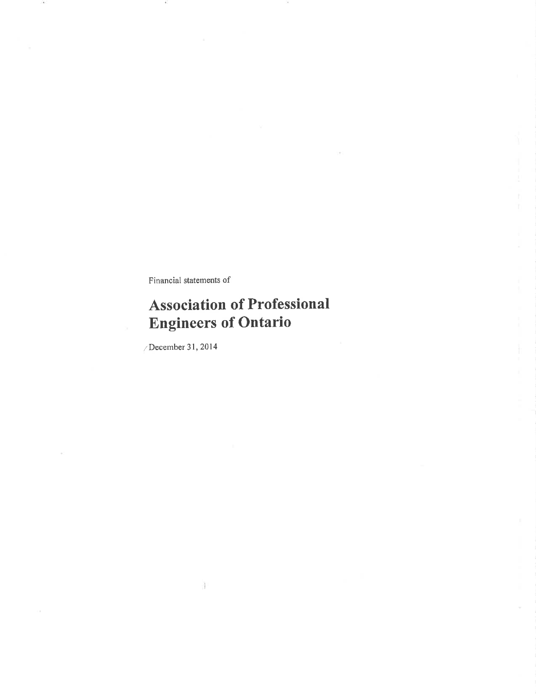Financial statements of

 $\mathcal{A}$ 

# Association of Professional Engineers of Ontario

,'December 31,2014

ğ.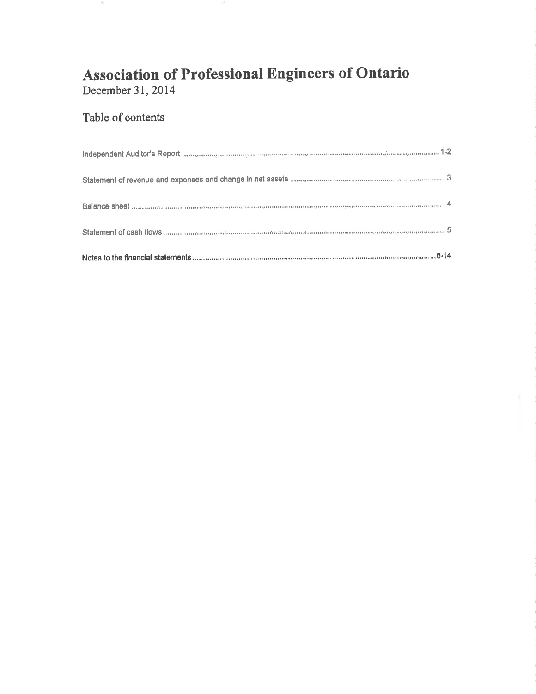### Association of Professional Engineers of Ontario December 31,2014

### Table of oontents

 $\sim$ 

| Independent Auditor's Report representation communication of the continuum continuum continuum communication |
|--------------------------------------------------------------------------------------------------------------|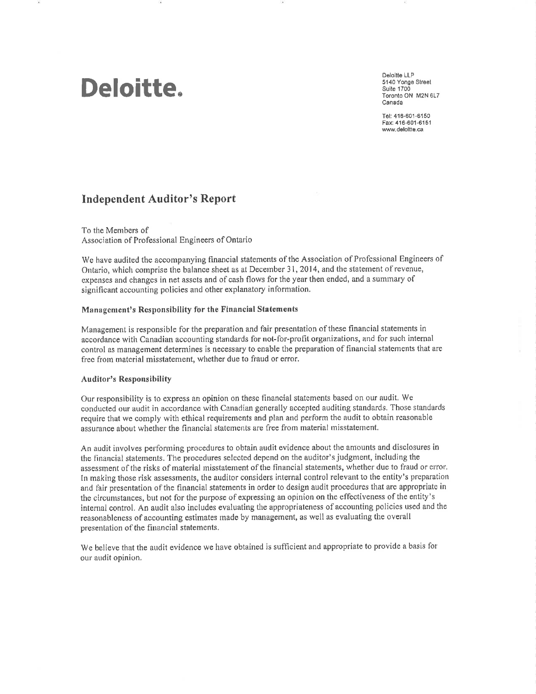# Deloitte.

Deloitte LLP 5140 Yonge Street **Suite 1700** Toronto ON M2N 6L7 Canada

Tel: 416-601-6150 Fax: 416-601-6151 www.deloltte.ca

### **Independent Auditor's Report**

To the Members of Association of Professional Engineers of Ontario

We have audited the accompanying financial statements of the Association of Professional Engineers of Ontario, which comprise the balance sheet as at December 31, 2014, and the statement of revenue, expenses and changes in net assets and of cash flows for the year then ended, and a summary of significant accounting policies and other explanatory information.

### Management's Responsibility for the Financial Statements

Management is responsible for the preparation and fair presentation of these financial statements in accordance with Canadian accounting standards for not-for-profit organizations, and for such internal control as management determines is necessary to enable the preparation of financial statements that are free from material misstatement, whether due to fraud or error.

### **Auditor's Responsibility**

Our responsibility is to express an opinion on these financial statements based on our audit. We conducted our audit in accordance with Canadian generally accepted auditing standards. Those standards require that we comply with ethical requirements and plan and perform the audit to obtain reasonable assurance about whether the financial statements are free from material misstatement.

An audit involves performing procedures to obtain audit evidence about the amounts and disclosures in the financial statements. The procedures selected depend on the auditor's judgment, including the assessment of the risks of material misstatement of the financial statements, whether due to fraud or error. In making those risk assessments, the auditor considers internal control relevant to the entity's preparation and fair presentation of the financial statements in order to design audit procedures that are appropriate in the circumstances, but not for the purpose of expressing an opinion on the effectiveness of the entity's internal control. An audit also includes evaluating the appropriateness of accounting policies used and the reasonableness of accounting estimates made by management, as well as evaluating the overall presentation of the financial statements.

We believe that the audit evidence we have obtained is sufficient and appropriate to provide a basis for our audit opinion.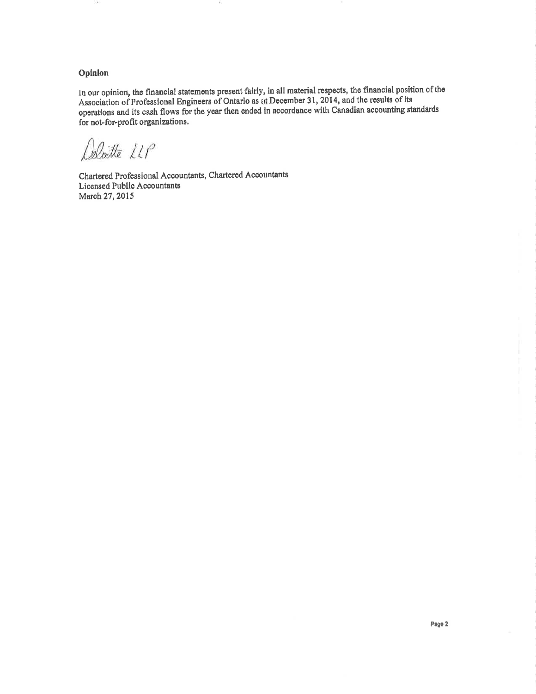### Opinion

In our opinion, the financial statements present fairly, in all material respects, the financial position of the Association of Professional Engineers of Ontario as at December 31, 2014, and the results of its operations and its cash flows for the year then ended in accordance with Canadian accounting standards for not-for-profit organizations.

Deloitte LLP

Chartered Professional Accountants, Chartered Accountants **Licensed Public Accountants** March 27, 2015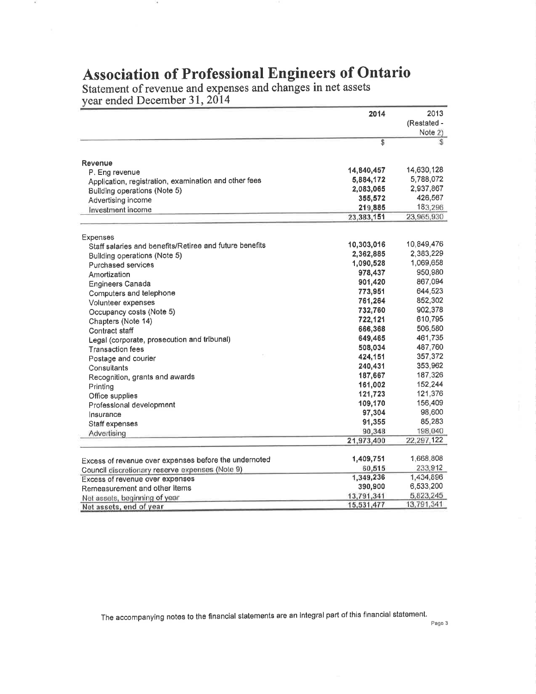Statement of revenue and year ended December 31, expenses and changes in net assets 2014

|                                                         | 2014       | 2013         |
|---------------------------------------------------------|------------|--------------|
|                                                         |            | (Restated -  |
|                                                         |            | Note 2)      |
|                                                         | \$         | \$           |
| Revenue                                                 |            |              |
| P. Eng revenue                                          | 14,840,457 | 14,630,128   |
| Application, registration, examination and other fees   | 5,884,172  | 5,788,072    |
| Building operations (Note 5)                            | 2,083,065  | 2,937,867    |
| Advertising income                                      | 355,572    | 426,567      |
| Investment income                                       | 219,885    | 183,296      |
|                                                         | 23,383,151 | 23,965,930   |
|                                                         |            |              |
| <b>Expenses</b>                                         |            |              |
| Staff salaries and benefits/Retiree and future benefits | 10,303,016 | 10,849,476   |
| Building operations (Note 5)                            | 2,362,885  | 2,383,229    |
| Purchased services                                      | 1,090,528  | 1,069,658    |
| Amortization                                            | 978,437    | 950,980      |
| <b>Engineers Canada</b>                                 | 901,420    | 867,094      |
| Computers and telephone                                 | 773,951    | 644,523      |
| Volunteer expenses                                      | 761,264    | 852,302      |
| Occupancy costs (Note 5)                                | 732,760    | 902,378      |
| Chapters (Note 14)                                      | 722,121    | 610,795      |
| Contract staff                                          | 666,368    | 506,580      |
| Legal (corporate, prosecution and tribunal)             | 649,465    | 461,735      |
| <b>Transaction fees</b>                                 | 508,034    | 487,760      |
| Postage and courier                                     | 424,151    | 357,372      |
| Consultants                                             | 240,431    | 353,962      |
| Recognition, grants and awards                          | 187,667    | 187,326      |
| Printing                                                | 161,002    | 152,244      |
| Office supplies                                         | 121,723    | 121,376      |
| Professional development                                | 109,170    | 156,409      |
| Insurance                                               | 97,304     | 98,600       |
| Staff expenses                                          | 91,355     | 85,283       |
| Advertising                                             | 90,348     | 198,040      |
|                                                         | 21,973,400 | 22, 297, 122 |
| Excess of revenue over expenses before the undernoted   | 1,409,751  | 1,668,808    |
| Council discretionary reserve expenses (Note 9)         | 60,515     | 233,912      |
| Excess of revenue over expenses                         | 1,349,236  | 1,434,896    |
| Remeasurement and other items                           | 390,900    | 6,533,200    |
| Net assets, beginning of year                           | 13,791,341 | 5,823,245    |
| Net assets, end of year                                 | 15,531,477 | 13,791,341   |

The accompanying notes to the financial statements are an integral part of this financial statement,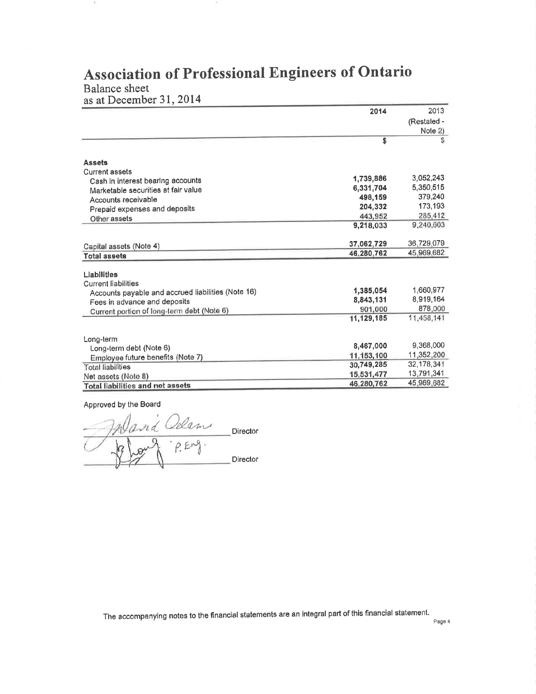### **Balance** sheet

 $\mathbf{r}_i$ 

as at December 31, 2014

|                                                    | 2014       | 2013                  |
|----------------------------------------------------|------------|-----------------------|
|                                                    |            | (Restated -           |
|                                                    |            | Note $2)$             |
|                                                    | \$         | s                     |
| <b>Assets</b>                                      |            |                       |
| <b>Current assets</b>                              |            |                       |
| Cash in interest bearing accounts                  | 1,739,886  | 3,052,243             |
| Marketable securities at fair value                | 6,331,704  | 5,350,515             |
| Accounts receivable                                | 498.159    | 379,240               |
| Prepaid expenses and deposits                      | 204.332    | 173,193               |
| Other assets                                       | 443,952    | 285,412               |
|                                                    | 9.218.033  | 9,240,603             |
| Capital assets (Note 4)                            | 37,062,729 | 36,729,079            |
| <b>Total assets</b>                                | 46.280.762 | 45.969.682            |
|                                                    |            |                       |
| <b>Llabilities</b>                                 |            |                       |
| <b>Current liabilities</b>                         |            |                       |
| Accounts payable and accrued liabilities (Note 16) | 1,385,054  | 1.660,977             |
| Fees in advance and deposits                       | 8,843,131  | 8,919,164             |
| Current portion of long-term debt (Note 6)         | 901,000    | 878,000<br>11.458.141 |
|                                                    | 11.129.185 |                       |
| Long-term                                          |            |                       |
| Long-term debt (Note 6)                            | 8,467,000  | 9,368,000             |
| Employee future benefits (Note 7)                  | 11,153,100 | 11,352,200            |
| <b>Total liabilities</b>                           | 30.749.285 | 32,178,341            |
| Net assets (Note 8)                                | 15,531,477 | 13.791.341            |
| <b>Total liabilities and net assets</b>            | 46.280,762 | 45,969,682            |

### Approved by the Board

Marid Oclems Director Director

The accompanying notes to the financial statements are an integral part of this financial statement.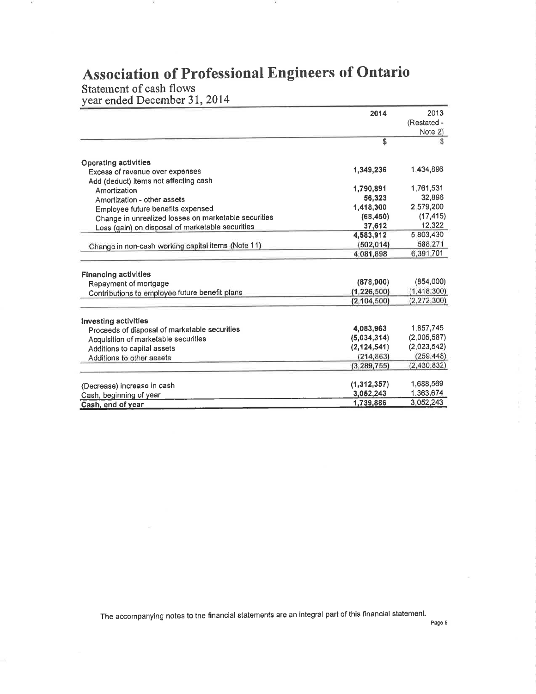$\boldsymbol{\pi}$ 

Statement of cash flows<br>year ended December 31, 2014

|                                                      | 2014          | 2013          |  |
|------------------------------------------------------|---------------|---------------|--|
|                                                      |               | (Restated -   |  |
|                                                      |               | Note 2)       |  |
|                                                      | \$            | S             |  |
| Operating activities                                 |               |               |  |
| Excess of revenue over expenses                      | 1,349,236     | 1,434,896     |  |
| Add (deduct) items not affecting cash                |               |               |  |
| Amortization                                         | 1,790,891     | 1,761,531     |  |
| Amortization - other assets                          | 56,323        | 32,896        |  |
| Employee future benefits expensed                    | 1,418,300     | 2,579,200     |  |
| Change in unrealized losses on marketable securities | (68, 450)     | (17, 415)     |  |
| Loss (gain) on disposal of marketable securities     | 37,612        | 12,322        |  |
|                                                      | 4,583,912     | 5,803,430     |  |
| Change in non-cash working capital items (Note 11)   | (502, 014)    | 588,271       |  |
|                                                      | 4,081,898     | 6,391,701     |  |
| <b>Financing activities</b>                          |               |               |  |
| Repayment of mortgage                                | (878,000)     | (854,000)     |  |
| Contributions to employee future benefit plans       | (1, 226, 500) | (1,418,300)   |  |
|                                                      | (2, 104, 500) | (2, 272, 300) |  |
| <b>Investing activities</b>                          |               |               |  |
| Proceeds of disposal of marketable securities        | 4,083,963     | 1,857,745     |  |
| Acquisition of marketable securities                 | (5,034,314)   | (2,005,587)   |  |
| Additions to capital assets                          | (2, 124, 541) | (2,023,542)   |  |
| Additions to other assets                            | (214, 863)    | (259, 448)    |  |
|                                                      | (3, 289, 755) | (2, 430, 832) |  |
| (Decrease) increase in cash                          | (1,312,357)   | 1,688,569     |  |
| Cash, beginning of year                              | 3,052,243     | 1,363,674     |  |
| Cash, end of year                                    | 1,739,886     | 3,052,243     |  |

The accompanying notes to the financial statements are an integral part of this financial statement.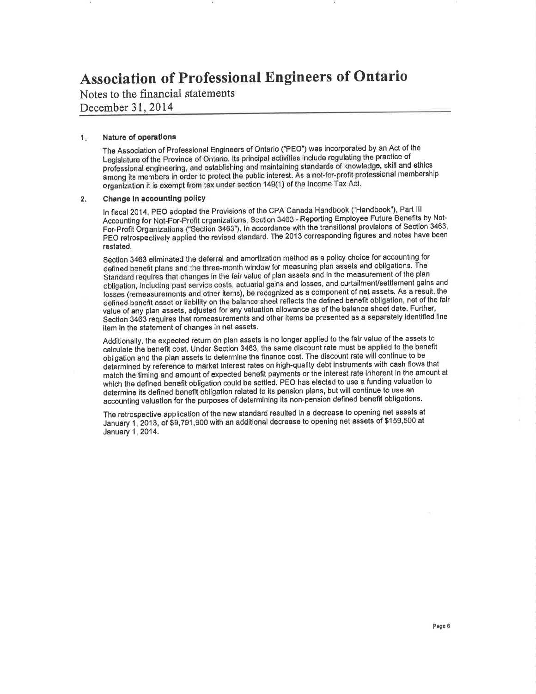Notes to the financial statements

### December 31, 2014

#### 1. Nature of operations

The Association of Professional Engineers of Ontario ("PEO") was incorporated by an Act of the Legislature of the Province of Ontario. Its principal activities include regulating the practice of professional engineering, and establishing and maintaining standards of knowledge, skill and ethics among its members in order to protect the public interest. As a not-for-profit professional membership organization it is exempt from tax under section 149(1) of the Income Tax Act.

#### Change In accounting policy  $2,$

In fiscal 2014, PEO adopted the Provisions of the CPA Canada Handbook ("Handbook"), Part III Accounting for Not-For-Profit organizations, Section 3463 - Reporting Employee Future Benefits by Not-For-Profit Organizations ("Section 3463"). In accordance with the transitional provisions of Section 3463, PEO retrospectively applied the revised standard. The 2013 corresponding figures and notes have been restated.

Section 3463 eliminated the deferral and amortization method as a policy choice for accounting for defined benefit plans and the three-month window for measuring plan assets and obligations. The Standard requires that changes in the fair value of plan assets and in the measurement of the plan obligation, including past service costs, actuarial gains and losses, and curtailment/settlement gains and losses (remeasurements and other items), be recognized as a component of net assets. As a result, the defined benefit asset or liability on the balance sheet reflects the defined benefit obligation, net of the fair value of any plan assets, adjusted for any valuation allowance as of the balance sheet date. Further, Section 3463 requires that remeasurements and other items be presented as a separately identified line item in the statement of changes in net assets.

Additionally, the expected return on plan assets is no longer applied to the fair value of the assets to calculate the benefit cost. Under Section 3463, the same discount rate must be applied to the benefit obligation and the plan assets to determine the finance cost. The discount rate will continue to be determined by reference to market interest rates on high-quality debt instruments with cash flows that match the timing and amount of expected benefit payments or the interest rate inherent in the amount at which the defined benefit obligation could be settled. PEO has elected to use a funding valuation to determine its defined benefit obligation related to its pension plans, but will continue to use an accounting valuation for the purposes of determining its non-pension defined benefit obligations.

The retrospective application of the new standard resulted in a decrease to opening net assets at January 1, 2013, of \$9,791,900 with an additional decrease to opening net assets of \$159,500 at January 1, 2014.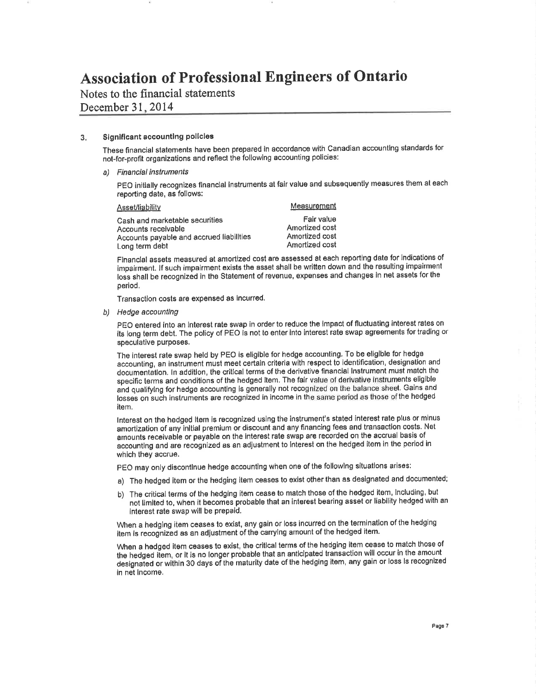Notes to the financial statements December 31 2014

#### 3. Slanificant accounting policies

These financial statements have been prepared in accordance with Canadian accountlng standards for nol-for-profit organizations and reflect the following accounting pollcies:

a) Financial instruments

PEO initially recognizes financlal instruments at fair value and subsequently measures them at each reporting date, as follows:

| Asset/liability                          | Measurement    |
|------------------------------------------|----------------|
| Cash and marketable securities           | Fair value     |
| Accounts receivable                      | Amortized cost |
| Accounts payable and accrued liabilities | Amortized cost |
| Long term debt                           | Amortized cost |

Finenclal assets measured at amortized cost are assessed at each reporting date for lndications of impairment. lf such impairment exists the asset shall be written down and the resulting impairment loss shall be recognized in the Statement of revenue, expenses and changes in net assets for the period,

Transaction costs are expensed as lncurred,

b) Hedge accountlng

PEO entered into an Interest rate swap in order to reduce the Impact of fluctuating interest rates on íts long term debt. The policy of PEO ls not to enter into interest rate swap agreements for tradlng or speculative purposes,

The interest rate swap held by PEO is eligible for hedge accounting. To be eligible for hedge accounting, an instrument must meet certain criteria with respect to identification, designation and documentation. In addition, the critical terms of the derivative financial instrument must match the specific terms and conditions of the hedged Item. The fair value of derivative instruments eligible and qualifying for hedge accounting is generally not recognized on the balance sheet. Gains and losses on such instruments are recognized in income in the same period as those of the hedged item,

lnterest on the hedged ltem is recognized uslng the instrument'e stated interest rate plus or minus amortization of any initial premium or discount and any financing fees and transaction costs. Net amounts receivable or payable on the interest rate swap are recorded on the accrual basis of accounting and are recognized as an adjustment to interest on the hedged item in the period in which they accrue.

PEO may only discontinue hedge accounting when one of the following situations arises:

- a) The hedged item or the hedging item ceases to exist other than as designated and documented;
- b) The critical terms of the hedglng item cease to match those of the hedged ìtem, lncluding, but not limited to, when it becomes probable that an interest bearing asset or liability hedged with an interest rate swap will be prepaid.

\Men a hedging item ceâses to exist, any gain or loss incurred on the terminatlon of the hedging item is recognized as an adjustment of the carrying amount of the hedged item.

When a hedged item ceases to exist, the critical terms of the hedging item cease to match those of the hedged item, or it is no longer probable that an anticipated transaction will occur in the amount designated or within 30 days of the maturity date of the hedging item, any gain or loss is recognized in net lncome,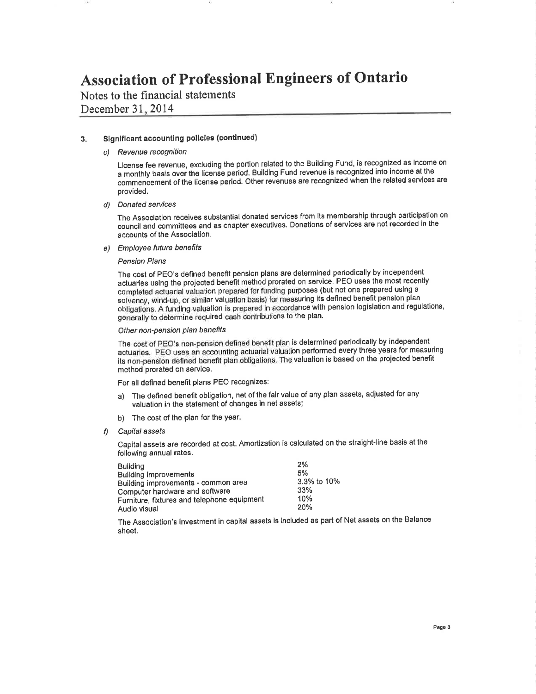Notes to the financial statements December 31 2014

### 3. Significant accounting policies (continued)

c) Revenue recognition

Llcense fee revenue, excluding the portion related to the Building Fund, is recognized as lncome on a monthly basis over the license period. Building Fund revenue is recognized into income at the commencement of the license period. Other revenues are recognized when the related services are provided,

d) Donated sery/ces

Tho Association receives substantial donated services from its membership through participation on council and committees and as chapter executlves. Donations of servlces are not recorded in the accounts of the Associatlon,

e) Employee futura benefits

### Pension Plans

The cost of PEO's defined benefit pension plans are determined periodically by independent actuaries using the projected benefìt method prorated on service, PEO uses the most recently completed actuarial valuation prepared for funding purposes (but not one prepared using a solvency, wind-up, or similar valuation basis) for measuring its defined benefit pension plan obligations. A funding valuation is prepared in accordance with pension legislation and regulations, generally to determine required cash contributions to the plan.

### Other non-pension plan benefits

The cost of PEO's non-pension defined benefit plan is determined periodically by independent actuaries. PEO uses an accounting actuarial valuation performed every three years for measuring its non-pension defined benefit plan obligations. The valuation is based on the projected benefit method prorated on service,

For all defined benefit plans PEO recognizes:

- a) The defined benefit obligation, net of the fair value of any plan assets, adjusted for any valuation in the statement of changes ìn net assets;
- b) The cost of the plan for the year.
- f) Capital assets

Capital assets are recorded at cost. Amortization is calculated on the straight-line basis at the following annual rates,

| <b>Building</b>                             | 2%          |
|---------------------------------------------|-------------|
| <b>Building Improvements</b>                | 5%          |
| Building improvements - common area         | 3.3% to 10% |
| Computer hardware and software              | 33%         |
| Furniture, fixtures and telephone equipment | 10%         |
| Audio visual                                | 20%         |

The Association's investment in capital assets is included as part of Net assets on the Balance sheet.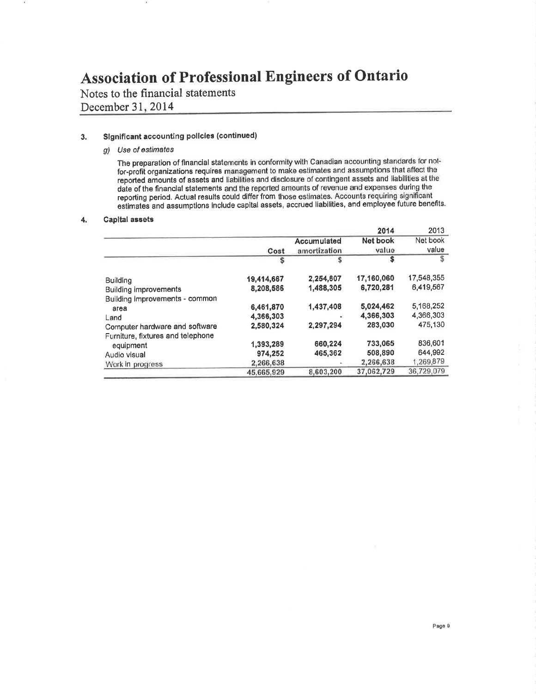Notes to the financial statements December 31, 2014

#### Significant accounting policies (continued) 3.

g) Use of estimates

The preparation of financial statements in conformity with Canadian accounting standards for notfor-profit organizations requires management to make estimates and assumptions that affect the reported amounts of assets and liabilities and disclosure of contingent assets and liabilities at the date of the financial statements and the reported amounts of revenue and expenses during the reporting period. Actual results could differ from those estimates. Accounts requiring significant estimates and assumptions include capital assets, accrued liabilities, and employee future benefits.

#### 4. **Capital assets**

|                                   |            |              | 2014       | 2013       |
|-----------------------------------|------------|--------------|------------|------------|
|                                   |            | Accumulated  | Net book   | Net book   |
|                                   | Cost       | amortization | value      | value      |
|                                   |            |              | s          | S          |
| <b>Building</b>                   | 19,414,667 | 2,254,607    | 17.160.060 | 17,548,355 |
| <b>Building improvements</b>      | 8,208,586  | 1,488,305    | 6,720,281  | 6,419,567  |
| Building Improvements - common    |            |              |            |            |
| area                              | 6,461,870  | 1,437,408    | 5,024,462  | 5,168,252  |
| Land                              | 4.366,303  |              | 4.366,303  | 4,366,303  |
| Computer hardware and software    | 2,580,324  | 2,297,294    | 283,030    | 475.130    |
| Furniture, fixtures and telephone |            |              |            |            |
| equipment                         | 1.393,289  | 660,224      | 733,065    | 836,601    |
| Audio visual                      | 974,252    | 465,362      | 508,890    | 644.992    |
| Work in progress                  | 2,266,638  |              | 2,266,638  | 1,269,879  |
|                                   | 45,665,929 | 8,603,200    | 37,062,729 | 36,729,079 |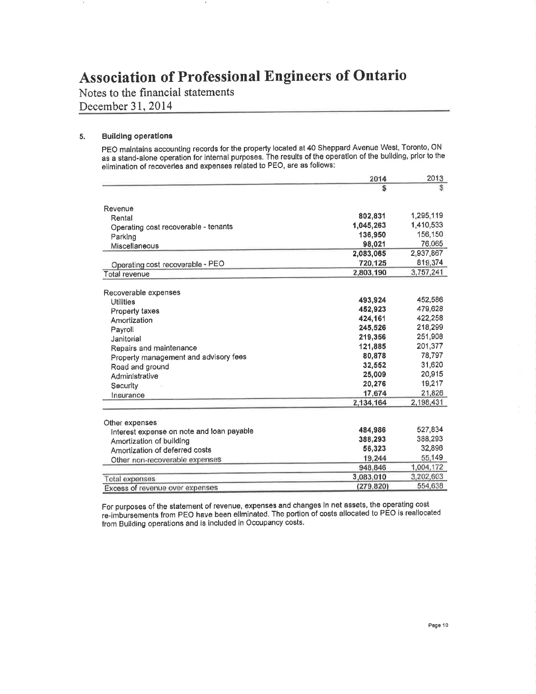Notes to the financial statements

December 3t,2014

### 5. Buildlng operations

pEO maintains accounting records for the property loceted at 40 Sheppard Avenue West, Toronto, ON as a stand-alone operation for internal purposes. The results of the operation of the building, prior to the elimlnation of recoverles and expenses related to PEO, are as follows:

|                                           | 2014       | 2013      |
|-------------------------------------------|------------|-----------|
|                                           | \$         | s         |
| Revenue                                   |            |           |
| Rental                                    | 802,831    | 1,295,119 |
| Operating cost recoverable - tenants      | 1,045,263  | 1,410,533 |
| Parking                                   | 136,950    | 156,150   |
| Miscellaneous                             | 98,021     | 76,065    |
|                                           | 2,083,065  | 2,937,867 |
| Operating cost recoverable - PEO          | 720,125    | 819,374   |
| <b>Total revenue</b>                      | 2,803,190  | 3,757,241 |
| Recoverable expenses                      |            |           |
| <b>Utilities</b>                          | 493,924    | 452,586   |
| Property taxes                            | 452,923    | 479,628   |
| Amortization                              | 424,161    | 422,258   |
| Payroll                                   | 245,526    | 218,299   |
| Janitorial                                | 219,356    | 251,908   |
| Repairs and maintenance                   | 121,885    | 201,377   |
| Property management and advisory fees     | 80,878     | 78,797    |
| Road and ground                           | 32,552     | 31,620    |
| Administrative                            | 25,009     | 20,915    |
| Security                                  | 20,276     | 19,217    |
| Insurance                                 | 17,674     | 21,826    |
|                                           | 2,134,164  | 2,198,431 |
|                                           |            |           |
| Other expenses                            | 484,986    | 527,834   |
| Interest expense on note and loan payable | 388,293    | 388,293   |
| Amortization of bullding                  | 56,323     | 32,896    |
| Amortization of deferred costs            | 19,244     | 55,149    |
| Other non-recoverable expenses            | 948,846    | 1,004,172 |
|                                           | 3,083,010  | 3,202,603 |
| Total expenses                            | (279, 820) | 554,638   |
| Excess of revenue over expenses           |            |           |

For purposes of the statement of revenue, expenses and changes in net assets, the operating cost re-imbursements from PEO have been ellminated. The portion of costs allocated to PEO is reallocated from Bullding operations and is included in Occupancy costs.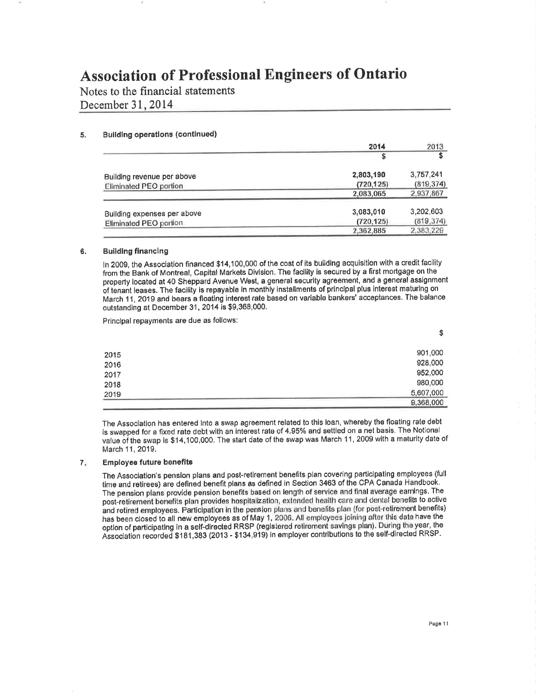Notes to the financial statements December 31, 2014

#### 5. **Building operations (continued)**

|                                                      | 2014                    | 2013                    |
|------------------------------------------------------|-------------------------|-------------------------|
|                                                      |                         |                         |
| Building revenue per above<br>Eliminated PEO portion | 2,803,190<br>(720, 125) | 3.757.241<br>(819, 374) |
|                                                      | 2,083,065               | 2,937,867               |
| Building expenses per above                          | 3,083,010<br>(720, 125) | 3,202,603<br>(819, 374) |
| Eliminated PEO portion                               | 2,362,885               | 2,383,229               |

#### **Building financing** 6.

In 2009, the Association financed \$14,100,000 of the cost of its building acquisition with a credit facility from the Bank of Montreal, Capital Markets Division. The facility is secured by a first mortgage on the property located at 40 Sheppard Avenue West, a general security agreement, and a general assignment of tenant leases. The facility is repayable in monthly installments of principal plus interest maturing on March 11, 2019 and bears a floating interest rate based on variable bankers' acceptances. The balance outstanding at December 31, 2014 is \$9,368,000.

Principal repayments are due as follows:

\$

|      | 9.368.000 |
|------|-----------|
| 2019 | 5,607,000 |
| 2018 | 980,000   |
| 2017 | 952,000   |
|      |           |
| 2016 | 928,000   |
| 2015 | 901,000   |
|      |           |

The Association has entered Into a swap agreement related to this loan, whereby the floating rate debt is swapped for a fixed rate debt with an interest rate of 4.95% and settled on a net basis. The Notional value of the swap is \$14,100,000. The start date of the swap was March 11, 2009 with a maturity date of March 11, 2019.

#### Employee future benefits  $7.$

The Association's pension plans and post-retirement benefits plan covering participating employees (full time and retirees) are defined benefit plans as defined in Section 3463 of the CPA Canada Handbook. The pension plans provide pension benefits based on length of service and final average earnings. The post-retirement benefits plan provides hospitalization, extended health care and dental benefits to active and retired employees. Participation in the pension plans and benefits plan (for post-retirement benefits) has been closed to all new employees as of May 1, 2006. All employees joining after this date have the option of participating in a self-directed RRSP (registered retirement savings plan). During the year, the Association recorded \$181,383 (2013 - \$134,919) in employer contributions to the self-directed RRSP.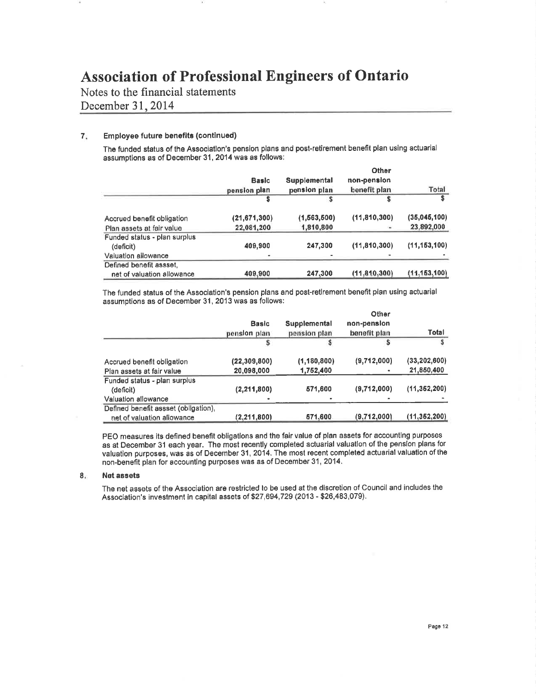Notes to the financial statements December 31, 2014

#### $7.5$ **Employee future benefits (continued)**

The funded status of the Association's pension plans and post-retirement benefit plan using actuarial assumptions as of December 31, 2014 was as follows:

|                                           | <b>Basic</b><br>pension plan | Supplemental<br>pension plan | Other<br>non-pension<br>benefit plan | Total          |
|-------------------------------------------|------------------------------|------------------------------|--------------------------------------|----------------|
|                                           |                              |                              |                                      |                |
| Accrued benefit obligation                | (21, 671, 300)               | (1,563,500)                  | (11,810,300)                         | (35,045,100)   |
| Plan assets at fair value                 | 22,081,200                   | 1,810,800                    |                                      | 23,892,000     |
| Funded status - plan surplus<br>(deficit) | 409,900                      | 247,300                      | (11, 810, 300)                       | (11, 153, 100) |
| Valuation allowance                       |                              |                              | ۰.                                   |                |
| Defined benefit assset,                   |                              |                              |                                      |                |
| net of valuation allowance                | 409,900                      | 247.300                      | (11, 810, 300)                       | (11, 153, 100) |

The funded status of the Association's pension plans and post-retlrement benefit plan using actuarial assumptions as of December 31, 2013 was as follows:

|                                           | <b>Basic</b><br>pension plan | Supplemental<br>pension plan | Other<br>non-pension<br>benefit plan | <b>Total</b>   |
|-------------------------------------------|------------------------------|------------------------------|--------------------------------------|----------------|
|                                           |                              |                              |                                      |                |
| Accrued benefit obligation                | (22, 309, 800)               | (1, 180, 800)                | (9,712,000)                          | (33, 202, 600) |
| Plan assets at fair value                 | 20,098,000                   | 1,752,400                    |                                      | 21,850,400     |
| Funded status - plan surplus<br>(deficit) | (2, 211, 800)                | 571,600                      | (9,712,000)                          | (11, 352, 200) |
| Valuation allowance                       |                              |                              |                                      |                |
| Defined benefit assset (obligation),      |                              |                              |                                      |                |
| net of valuation allowance                | (2,211,800)                  | 571,600                      | (9,712,000)                          | (11, 362, 200) |

PEO measures its defined benefit obligations and the fair value of plan assets for accounting purposes as at December 31 each year. The most recently completed actuarial valuation of the pension plans for valuation purposes, was as of December 31, 2014. The most recent completed actuarial valuation of the non-benefit plan for accounting purposes was as of December 31, 2014.

#### $8<sub>ii</sub>$ **Net assets**

The net assets of the Association are restricted to be used at the discretion of Council and includes the Association's investment in capital assets of \$27,694,729 (2013 - \$26,483,079).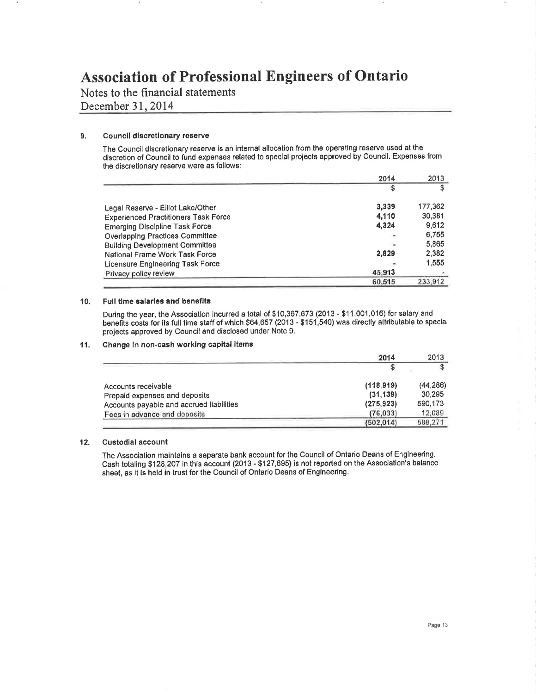Notes to the financial statements December 31, 2014

#### 9. **Council discretionary reserve**

The Council discretionary reserve is an internal allocation from the operating reserve used at the discretion of Council to fund expenses related to special projects approved by Council. Expenses from the discretionary reserve were as follows:

|                                             | 2014            | 2013    |
|---------------------------------------------|-----------------|---------|
|                                             | 5               | \$      |
| Legal Reserve - Elliot Lake/Other           | 3,339           | 177,362 |
| <b>Experienced Practitioners Task Force</b> | 4,110           | 30.381  |
| <b>Emerging Discipline Task Force</b>       | 4,324           | 9.612   |
| <b>Overlapping Practices Committee</b>      |                 | 6,755   |
| <b>Building Development Committee</b>       | <b>Contract</b> | 5,865   |
| National Frame Work Task Force              | 2,829           | 2,382   |
| Licensure Engineering Task Force            | ÷               | 1,555   |
| Privacy policy review                       | 45,913          |         |
|                                             | 60,515          | 233,912 |

#### Full time salaries and benefits  $10.$

During the year, the Association incurred a total of \$10,367,673 (2013 - \$11,001,016) for salary and benefits costs for its full time staff of which \$64,657 (2013 - \$151,540) was directly attributable to special projects approved by Council and disclosed under Note 9.

#### $11.$ Change In non-cash working capital items

|                                          | 2014       | 2013      |
|------------------------------------------|------------|-----------|
|                                          |            |           |
| Accounts receivable                      | (118, 919) | (44, 286) |
| Prepaid expenses and deposits            | (31, 139)  | 30,295    |
| Accounts payable and accrued liabilities | (275, 923) | 590,173   |
| Fees in advance and deposits             | (76, 033)  | 12.089    |
|                                          | (502.014)  | 588,271   |

#### $12.$ **Custodial account**

The Association maintains a separate bank account for the Council of Ontario Deans of Engineering. Cash totaling \$128,207 in this account (2013 - \$127,695) is not reported on the Association's balance sheet, as it is held in trust for the Council of Ontario Deans of Engineering.